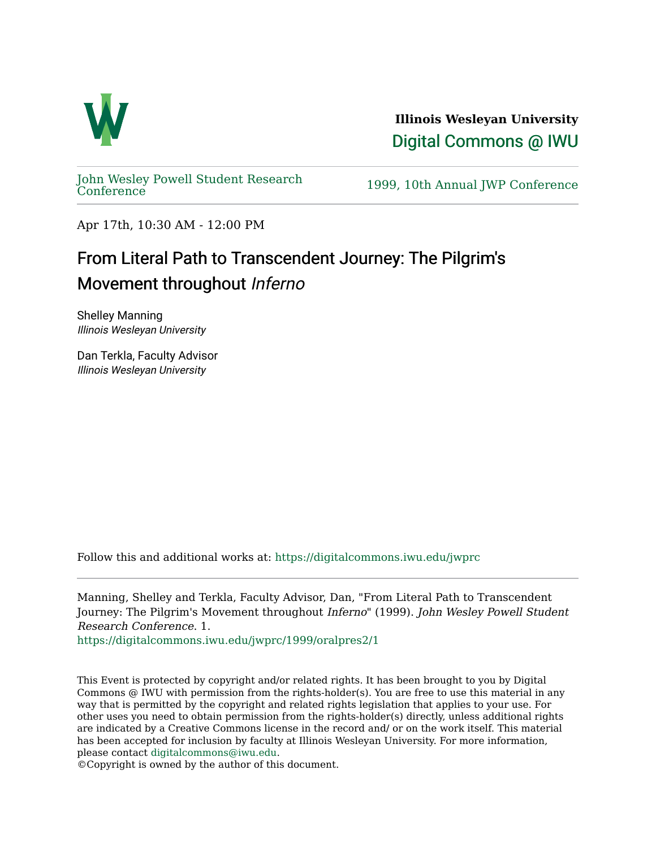

**Illinois Wesleyan University**  [Digital Commons @ IWU](https://digitalcommons.iwu.edu/) 

[John Wesley Powell Student Research](https://digitalcommons.iwu.edu/jwprc) 

1999, 10th Annual JWP [Conference](https://digitalcommons.iwu.edu/jwprc)

Apr 17th, 10:30 AM - 12:00 PM

## From Literal Path to Transcendent Journey: The Pilgrim's Movement throughout Inferno

Shelley Manning Illinois Wesleyan University

Dan Terkla, Faculty Advisor Illinois Wesleyan University

Follow this and additional works at: [https://digitalcommons.iwu.edu/jwprc](https://digitalcommons.iwu.edu/jwprc?utm_source=digitalcommons.iwu.edu%2Fjwprc%2F1999%2Foralpres2%2F1&utm_medium=PDF&utm_campaign=PDFCoverPages) 

Manning, Shelley and Terkla, Faculty Advisor, Dan, "From Literal Path to Transcendent Journey: The Pilgrim's Movement throughout Inferno" (1999). John Wesley Powell Student Research Conference. 1.

[https://digitalcommons.iwu.edu/jwprc/1999/oralpres2/1](https://digitalcommons.iwu.edu/jwprc/1999/oralpres2/1?utm_source=digitalcommons.iwu.edu%2Fjwprc%2F1999%2Foralpres2%2F1&utm_medium=PDF&utm_campaign=PDFCoverPages)

This Event is protected by copyright and/or related rights. It has been brought to you by Digital Commons @ IWU with permission from the rights-holder(s). You are free to use this material in any way that is permitted by the copyright and related rights legislation that applies to your use. For other uses you need to obtain permission from the rights-holder(s) directly, unless additional rights are indicated by a Creative Commons license in the record and/ or on the work itself. This material has been accepted for inclusion by faculty at Illinois Wesleyan University. For more information, please contact [digitalcommons@iwu.edu.](mailto:digitalcommons@iwu.edu)

©Copyright is owned by the author of this document.